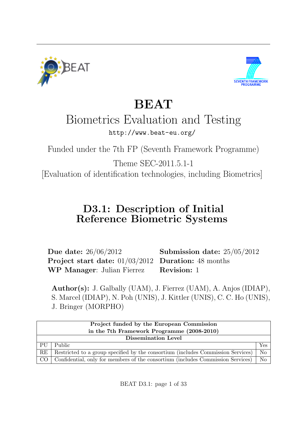



# BEAT

# Biometrics Evaluation and Testing http://www.beat-eu.org/

Funded under the 7th FP (Seventh Framework Programme) Theme SEC-2011.5.1-1

[Evaluation of identification technologies, including Biometrics]

# D3.1: Description of Initial Reference Biometric Systems

**Due date:** 26/06/2012 **Submission date:** 25/05/2012 Project start date: 01/03/2012 Duration: 48 months WP Manager: Julian Fierrez Revision: 1

Author(s): J. Galbally (UAM), J. Fierrez (UAM), A. Anjos (IDIAP), S. Marcel (IDIAP), N. Poh (UNIS), J. Kittler (UNIS), C. C. Ho (UNIS), J. Bringer (MORPHO)

| Project funded by the European Commission                                |                                                                                  |      |  |  |  |  |
|--------------------------------------------------------------------------|----------------------------------------------------------------------------------|------|--|--|--|--|
| in the 7th Framework Programme (2008-2010)<br><b>Dissemination Level</b> |                                                                                  |      |  |  |  |  |
| PU                                                                       | Public                                                                           | Yes. |  |  |  |  |
| RE                                                                       | Restricted to a group specified by the consortium (includes Commission Services) | No.  |  |  |  |  |
| CO                                                                       | Confidential, only for members of the consortium (includes Commission Services)  | No   |  |  |  |  |

BEAT D3.1: page 1 of 33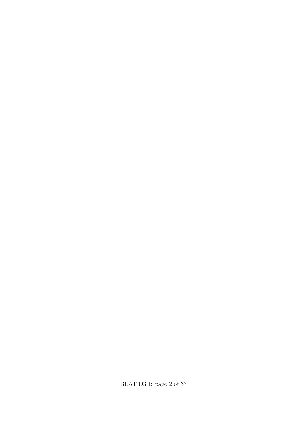BEAT D3.1: page 2 of 33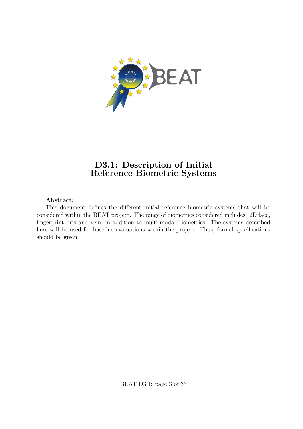

# D3.1: Description of Initial Reference Biometric Systems

#### Abstract:

This document defines the different initial reference biometric systems that will be considered within the BEAT project. The range of biometrics considered includes: 2D face, fingerprint, iris and vein, in addition to multi-modal biometrics. The systems described here will be used for baseline evaluations within the project. Thus, formal specifications should be given.

BEAT D3.1: page 3 of 33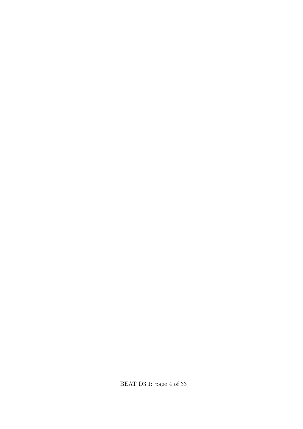BEAT D3.1: page 4 of 33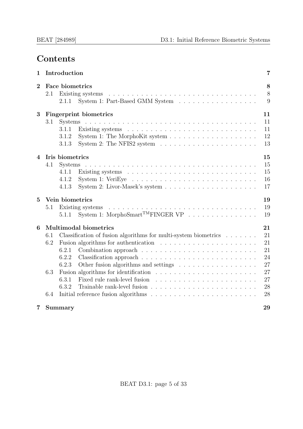# Contents

| $\mathbf 1$    | Introduction                                                                                  |                                           |                                                                                                |                            |  |
|----------------|-----------------------------------------------------------------------------------------------|-------------------------------------------|------------------------------------------------------------------------------------------------|----------------------------|--|
| $\overline{2}$ | <b>Face biometrics</b><br>Existing systems<br>2.1<br>System 1: Part-Based GMM System<br>2.1.1 |                                           |                                                                                                |                            |  |
| 3              | <b>Fingerprint biometrics</b><br>3.1                                                          |                                           |                                                                                                |                            |  |
|                |                                                                                               | 3.1.1<br>3.1.2<br>3.1.3                   | System 2: The NFIS2 system $\ldots \ldots \ldots \ldots \ldots \ldots \ldots$                  | 11<br>12<br>13             |  |
| $\overline{4}$ |                                                                                               | Iris biometrics                           |                                                                                                | 15                         |  |
|                | 4.1                                                                                           | <b>Systems</b><br>4.1.1<br>4.1.2<br>4.1.3 | System 1: VeriEye $\dots \dots \dots \dots \dots \dots \dots \dots \dots \dots \dots$          | 15<br>15<br>16<br>17       |  |
| 5              | Vein biometrics<br>19                                                                         |                                           |                                                                                                |                            |  |
|                | 5.1                                                                                           | 5.1.1                                     | System 1: MorphoSmart<br>TMFINGER VP $\;\ldots\; \ldots\; \ldots\; \ldots\; \ldots\; \ldots\;$ | 19<br>19                   |  |
| 6              |                                                                                               |                                           | <b>Multimodal biometrics</b>                                                                   | 21                         |  |
|                | 6.1<br>6.2                                                                                    | 6.2.1<br>6.2.2<br>6.2.3                   | Classification of fusion algorithms for multi-system biometrics $\ldots \ldots$                | 21<br>21<br>21<br>24<br>27 |  |
|                | 6.3<br>6.4                                                                                    | 6.3.1<br>6.3.2                            |                                                                                                | 27<br>27<br>28<br>28       |  |
| 7              |                                                                                               | Summary                                   |                                                                                                | 29                         |  |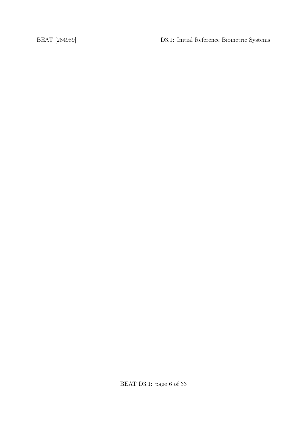BEAT D3.1: page 6 of 33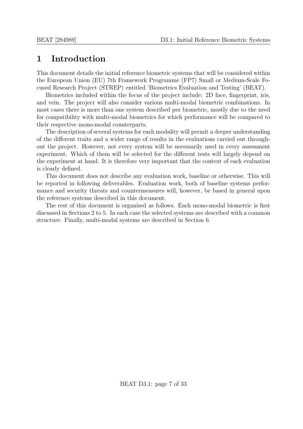# 1 Introduction

This document details the initial reference biometric systems that will be considered within the European Union (EU) 7th Framework Programme (FP7) Small or Medium-Scale Focused Research Project (STREP) entitled 'Biometrics Evaluation and Testing' (BEAT).

Biometrics included within the focus of the project include: 2D face, fingerprint, iris, and vein. The project will also consider various multi-modal biometric combinations. In most cases there is more than one system described per biometric, mostly due to the need for compatibility with multi-modal biometrics for which performance will be compared to their respective mono-modal counterparts.

The description of several systems for each modality will permit a deeper understanding of the different traits and a wider range of results in the evaluations carried out throughout the project. However, not every system will be necessarily used in every assessment experiment. Which of them will be selected for the different tests will largely depend on the experiment at hand. It is therefore very important that the context of each evaluation is clearly defined.

This document does not describe any evaluation work, baseline or otherwise. This will be reported in following deliverables. Evaluation work, both of baseline systems performance and security threats and countermeasures will, however, be based in general upon the reference systems described in this document.

The rest of this document is organised as follows. Each mono-modal biometric is first discussed in Sections 2 to 5. In each case the selected systems are described with a common structure. Finally, multi-modal systems are described in Section 6.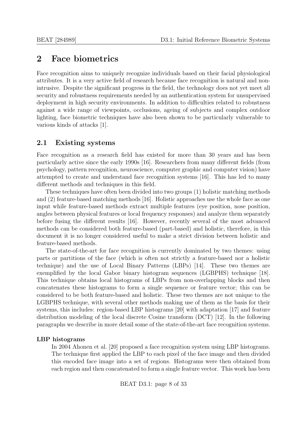# 2 Face biometrics

Face recognition aims to uniquely recognize individuals based on their facial physiological attributes. It is a very active field of research because face recognition is natural and nonintrusive. Despite the significant progress in the field, the technology does not yet meet all security and robustness requirements needed by an authentication system for unsupervised deployment in high security environments. In addition to difficulties related to robustness against a wide range of viewpoints, occlusions, ageing of subjects and complex outdoor lighting, face biometric techniques have also been shown to be particularly vulnerable to various kinds of attacks [1].

#### 2.1 Existing systems

Face recognition as a research field has existed for more than 30 years and has been particularly active since the early 1990s [16]. Researchers from many different fields (from psychology, pattern recognition, neuroscience, computer graphic and computer vision) have attempted to create and understand face recognition systems [16]. This has led to many different methods and techniques in this field.

These techniques have often been divided into two groups (1) holistic matching methods and (2) feature-based matching methods [16]. Holistic approaches use the whole face as one input while feature-based methods extract multiple features (eye position, nose position, angles between physical features or local frequency responses) and analyze them separately before fusing the different results [16]. However, recently several of the most advanced methods can be considered both feature-based (part-based) and holistic, therefore, in this document it is no longer considered useful to make a strict division between holistic and feature-based methods.

The state-of-the-art for face recognition is currently dominated by two themes: using parts or partitions of the face (which is often not strictly a feature-based nor a holistic technique) and the use of Local Binary Patterns (LBPs) [14]. These two themes are exemplified by the local Gabor binary histogram sequences (LGBPHS) technique [18]. This technique obtains local histograms of LBPs from non-overlapping blocks and then concatenates these histograms to form a single sequence or feature vector; this can be considered to be both feature-based and holistic. These two themes are not unique to the LGBPHS technique, with several other methods making use of them as the basis for their systems, this includes: region-based LBP histograms [20] with adaptation [17] and feature distribution modeling of the local discrete Cosine transform (DCT) [12]. In the following paragraphs we describe in more detail some of the state-of-the-art face recognition systems.

#### LBP histograms

In 2004 Ahonen et al. [20] proposed a face recognition system using LBP histograms. The technique first applied the LBP to each pixel of the face image and then divided this encoded face image into a set of regions. Histograms were then obtained from each region and then concatenated to form a single feature vector. This work has been

BEAT D3.1: page 8 of 33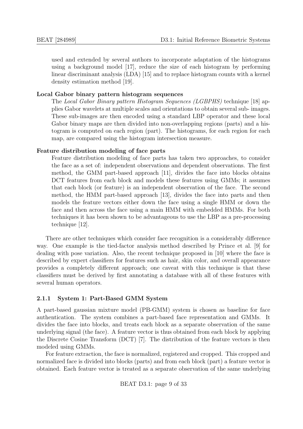used and extended by several authors to incorporate adaptation of the histograms using a background model [17], reduce the size of each histogram by performing linear discriminant analysis (LDA) [15] and to replace histogram counts with a kernel density estimation method [19].

#### Local Gabor binary pattern histogram sequences

The Local Gabor Binary pattern Histogram Sequences (LGBPHS) technique [18] applies Gabor wavelets at multiple scales and orientations to obtain several sub- images. These sub-images are then encoded using a standard LBP operator and these local Gabor binary maps are then divided into non-overlapping regions (parts) and a histogram is computed on each region (part). The histograms, for each region for each map, are compared using the histogram intersection measure.

#### Feature distribution modeling of face parts

Feature distribution modeling of face parts has taken two approaches, to consider the face as a set of: independent observations and dependent observations. The first method, the GMM part-based approach [11], divides the face into blocks obtains DCT features from each block and models these features using GMMs; it assumes that each block (or feature) is an independent observation of the face. The second method, the HMM part-based approach [13], divides the face into parts and then models the feature vectors either down the face using a single HMM or down the face and then across the face using a main HMM with embedded HMMs. For both techniques it has been shown to be advantageous to use the LBP as a pre-processing technique [12].

There are other techniques which consider face recognition is a considerably difference way. One example is the tied-factor analysis method described by Prince et al. [9] for dealing with pose variation. Also, the recent technique proposed in [10] where the face is described by expert classifiers for features such as hair, skin color, and overall appearance provides a completely different approach; one caveat with this technique is that these classifiers must be derived by first annotating a database with all of these features with several human operators.

#### 2.1.1 System 1: Part-Based GMM System

A part-based gaussian mixture model (PB-GMM) system is chosen as baseline for face authentication. The system combines a part-based face representation and GMMs. It divides the face into blocks, and treats each block as a separate observation of the same underlying signal (the face). A feature vector is thus obtained from each block by applying the Discrete Cosine Transform (DCT) [7]. The distribution of the feature vectors is then modeled using GMMs.

For feature extraction, the face is normalized, registered and cropped. This cropped and normalized face is divided into blocks (parts) and from each block (part) a feature vector is obtained. Each feature vector is treated as a separate observation of the same underlying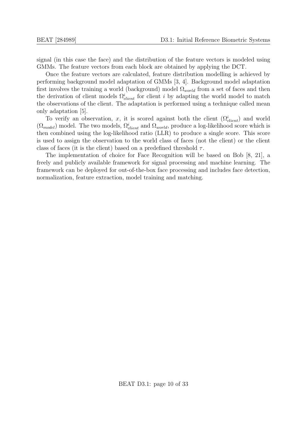signal (in this case the face) and the distribution of the feature vectors is modeled using GMMs. The feature vectors from each block are obtained by applying the DCT.

Once the feature vectors are calculated, feature distribution modelling is achieved by performing background model adaptation of GMMs [3, 4]. Background model adaptation first involves the training a world (background) model  $\Omega_{world}$  from a set of faces and then the derivation of client models  $\Omega_{client}^{i}$  for client i by adapting the world model to match the observations of the client. The adaptation is performed using a technique called mean only adaptation [5].

To verify an observation, x, it is scored against both the client  $(\Omega_{client}^i)$  and world  $(\Omega_{model})$  model. The two models,  $\Omega_{client}^{i}$  and  $\Omega_{world}$ , produce a log-likelihood score which is then combined using the log-likelihood ratio (LLR) to produce a single score. This score is used to assign the observation to the world class of faces (not the client) or the client class of faces (it is the client) based on a predefined threshold  $\tau$ .

The implementation of choice for Face Recognition will be based on Bob [8, 21], a freely and publicly available framework for signal processing and machine learning. The framework can be deployed for out-of-the-box face processing and includes face detection, normalization, feature extraction, model training and matching.

BEAT D3.1: page 10 of 33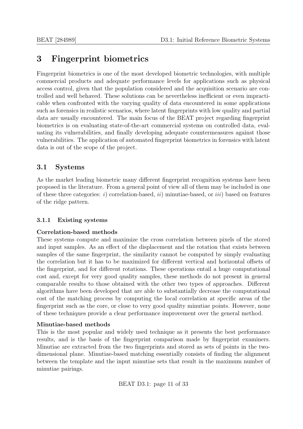# 3 Fingerprint biometrics

Fingerprint biometrics is one of the most developed biometric technologies, with multiple commercial products and adequate performance levels for applications such as physical access control, given that the population considered and the acquisition scenario are controlled and well behaved. These solutions can be nevertheless inefficient or even impracticable when confronted with the varying quality of data encountered in some applications such as forensics in realistic scenarios, where latent fingerprints with low quality and partial data are usually encountered. The main focus of the BEAT project regarding fingerprint biometrics is on evaluating state-of-the-art commercial systems on controlled data, evaluating its vulnerabilities, and finally developing adequate countermeasures against those vulnerabilities. The application of automated fingerprint biometrics in forensics with latent data is out of the scope of the project.

## 3.1 Systems

As the market leading biometric many different fingerprint recognition systems have been proposed in the literature. From a general point of view all of them may be included in one of these three categories: i) correlation-based, ii) minutiae-based, or  $iii$ ) based on features of the ridge pattern.

#### 3.1.1 Existing systems

#### Correlation-based methods

These systems compute and maximize the cross correlation between pixels of the stored and input samples. As an effect of the displacement and the rotation that exists between samples of the same fingerprint, the similarity cannot be computed by simply evaluating the correlation but it has to be maximized for different vertical and horizontal offsets of the fingerprint, and for different rotations. These operations entail a huge computational cost and, except for very good quality samples, these methods do not present in general comparable results to those obtained with the other two types of approaches. Different algorithms have been developed that are able to substantially decrease the computational cost of the matching process by computing the local correlation at specific areas of the fingerprint such as the core, or close to very good quality minutiae points. However, none of these techniques provide a clear performance improvement over the general method.

#### Minutiae-based methods

This is the most popular and widely used technique as it presents the best performance results, and is the basis of the fingerprint comparison made by fingerprint examiners. Minutiae are extracted from the two fingerprints and stored as sets of points in the twodimensional plane. Minutiae-based matching essentially consists of finding the alignment between the template and the input minutiae sets that result in the maximum number of minutiae pairings.

BEAT D3.1: page 11 of 33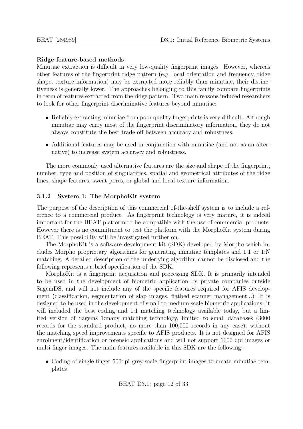#### Ridge feature-based methods

Minutiae extraction is difficult in very low-quality fingerprint images. However, whereas other features of the fingerprint ridge pattern (e.g. local orientation and frequency, ridge shape, texture information) may be extracted more reliably than minutiae, their distinctiveness is generally lower. The approaches belonging to this family compare fingerprints in term of features extracted from the ridge pattern. Two main reasons induced researchers to look for other fingerprint discriminative features beyond minutiae:

- Reliably extracting minutiae from poor quality fingerprints is very difficult. Although minutiae may carry most of the fingerprint discriminatory information, they do not always constitute the best trade-off between accuracy and robustness.
- Additional features may be used in conjunction with minutiae (and not as an alternative) to increase system accuracy and robustness.

The more commonly used alternative features are the size and shape of the fingerprint, number, type and position of singularities, spatial and geometrical attributes of the ridge lines, shape features, sweat pores, or global and local texture information.

#### 3.1.2 System 1: The MorphoKit system

The purpose of the description of this commercial of-the-shelf system is to include a reference to a commercial product. As fingerprint technology is very mature, it is indeed important for the BEAT platform to be compatible with the use of commercial products. However there is no commitment to test the platform with the MorphoKit system during BEAT. This possibility will be investigated further on.

The MorphoKit is a software development kit (SDK) developed by Morpho which includes Morpho proprietary algorithms for generating minutiae templates and 1:1 or 1:N matching. A detailed description of the underlying algorithm cannot be disclosed and the following represents a brief specification of the SDK.

MorphoKit is a fingerprint acquisition and processing SDK. It is primarily intended to be used in the development of biometric application by private companies outside SagemDS, and will not include any of the specific features required for AFIS development (classification, segmentation of slap images, flatbed scanner management...) It is designed to be used in the development of small to medium scale biometric applications: it will included the best coding and 1:1 matching technology available today, but a limited version of Sagems 1:many matching technology, limited to small databases (3000 records for the standard product, no more than 100,000 records in any case), without the matching speed improvements specific to AFIS products. It is not designed for AFIS enrolment/identification or forensic applications and will not support 1000 dpi images or multi-finger images. The main features available in this SDK are the following :

• Coding of single-finger 500dpi grey-scale fingerprint images to create minutiae templates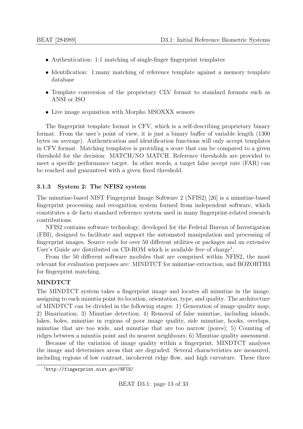- Authentication: 1:1 matching of single-finger fingerprint templates
- Identification: 1:many matching of reference template against a memory template database
- Template conversion of the proprietary CLV format to standard formats such as ANSI or ISO
- Live image acquisition with Morpho MSOXXX sensors

The fingerprint template format is CFV, which is a self-describing proprietary binary format. From the user's point of view, it is just a binary buffer of variable length (1300 bytes on average). Authentication and identification functions will only accept templates in CFV format. Matching templates is providing a score that can be compared to a given threshold for the decision: MATCH/NO MATCH. Reference thresholds are provided to meet a specific performance target. In other words, a target false accept rate (FAR) can be reached and guaranteed with a given fixed threshold.

#### 3.1.3 System 2: The NFIS2 system

The minutiae-based NIST Fingerprint Image Software 2 (NFIS2) [26] is a minutiae-based fingerprint processing and recognition system formed from independent software, which constitutes a de facto standard reference system used in many fingerprint-related research contributions.

NFIS2 contains software technology, developed for the Federal Bureau of Investigation (FBI), designed to facilitate and support the automated manipulation and processing of fingerprint images. Source code for over 50 different utilities or packages and an extensive User's Guide are distributed on CD-ROM which is available free of charge<sup>1</sup>.

From the 50 different software modules that are comprised within NFIS2, the most relevant for evaluation purposes are: MINDTCT for minutiae extraction, and BOZORTH3 for fingerprint matching.

### MINDTCT

The MINDTCT system takes a fingerprint image and locates all minutiae in the image, assigning to each minutia point its location, orientation, type, and quality. The architecture of MINDTCT can be divided in the following stages: 1) Generation of image quality map; 2) Binarization; 3) Minutiae detection; 4) Removal of false minutiae, including islands, lakes, holes, minutiae in regions of poor image quality, side minutiae, hooks, overlaps, minutiae that are too wide, and minutiae that are too narrow (pores); 5) Counting of ridges between a minutia point and its nearest neighbours; 6) Minutiae quality assessment.

Because of the variation of image quality within a fingerprint, MINDTCT analyses the image and determines areas that are degraded. Several characteristics are measured, including regions of low contrast, incoherent ridge flow, and high curvature. These three

BEAT D3.1: page 13 of 33

<sup>1</sup>http://fingerprint.nist.gov/NFIS/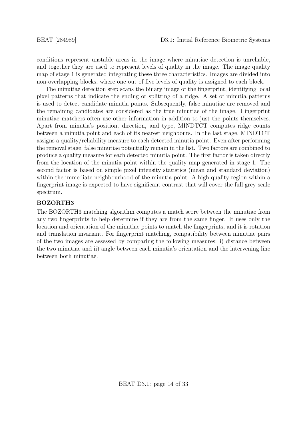conditions represent unstable areas in the image where minutiae detection is unreliable, and together they are used to represent levels of quality in the image. The image quality map of stage 1 is generated integrating these three characteristics. Images are divided into non-overlapping blocks, where one out of five levels of quality is assigned to each block.

The minutiae detection step scans the binary image of the fingerprint, identifying local pixel patterns that indicate the ending or splitting of a ridge. A set of minutia patterns is used to detect candidate minutia points. Subsequently, false minutiae are removed and the remaining candidates are considered as the true minutiae of the image. Fingerprint minutiae matchers often use other information in addition to just the points themselves. Apart from minutia's position, direction, and type, MINDTCT computes ridge counts between a minutia point and each of its nearest neighbours. In the last stage, MINDTCT assigns a quality/reliability measure to each detected minutia point. Even after performing the removal stage, false minutiae potentially remain in the list. Two factors are combined to produce a quality measure for each detected minutia point. The first factor is taken directly from the location of the minutia point within the quality map generated in stage 1. The second factor is based on simple pixel intensity statistics (mean and standard deviation) within the immediate neighbourhood of the minutia point. A high quality region within a fingerprint image is expected to have significant contrast that will cover the full grey-scale spectrum.

#### BOZORTH3

The BOZORTH3 matching algorithm computes a match score between the minutiae from any two fingerprints to help determine if they are from the same finger. It uses only the location and orientation of the minutiae points to match the fingerprints, and it is rotation and translation invariant. For fingerprint matching, compatibility between minutiae pairs of the two images are assessed by comparing the following measures: i) distance between the two minutiae and ii) angle between each minutia's orientation and the intervening line between both minutiae.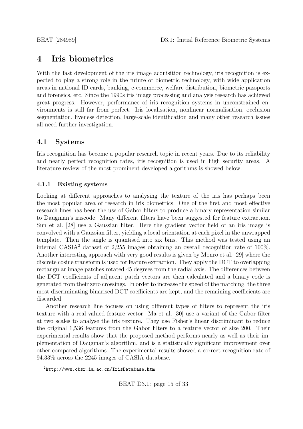# 4 Iris biometrics

With the fast development of the iris image acquisition technology, iris recognition is expected to play a strong role in the future of biometric technology, with wide application areas in national ID cards, banking, e-commerce, welfare distribution, biometric passports and forensics, etc. Since the 1990s iris image processing and analysis research has achieved great progress. However, performance of iris recognition systems in unconstrained environments is still far from perfect. Iris localisation, nonlinear normalisation, occlusion segmentation, liveness detection, large-scale identification and many other research issues all need further investigation.

## 4.1 Systems

Iris recognition has become a popular research topic in recent years. Due to its reliability and nearly perfect recognition rates, iris recognition is used in high security areas. A literature review of the most prominent developed algorithms is showed below.

### 4.1.1 Existing systems

Looking at different approaches to analysing the texture of the iris has perhaps been the most popular area of research in iris biometrics. One of the first and most effective research lines has been the use of Gabor filters to produce a binary representation similar to Daugman's iriscode. Many different filters have been suggested for feature extraction. Sun et al. [28] use a Gaussian filter. Here the gradient vector field of an iris image is convolved with a Gaussian filter, yielding a local orientation at each pixel in the unwrapped template. Then the angle is quantised into six bins. This method was tested using an internal CASIA<sup>2</sup> dataset of 2,255 images obtaining an overall recognition rate of  $100\%$ . Another interesting approach with very good results is given by Monro et al. [29] where the discrete cosine transform is used for feature extraction. They apply the DCT to overlapping rectangular image patches rotated 45 degrees from the radial axis. The differences between the DCT coefficients of adjacent patch vectors are then calculated and a binary code is generated from their zero crossings. In order to increase the speed of the matching, the three most discriminating binarised DCT coefficients are kept, and the remaining coefficients are discarded.

Another research line focuses on using different types of filters to represent the iris texture with a real-valued feature vector. Ma et al. [30] use a variant of the Gabor filter at two scales to analyse the iris texture. They use Fisher's linear discriminant to reduce the original 1,536 features from the Gabor filters to a feature vector of size 200. Their experimental results show that the proposed method performs nearly as well as their implementation of Daugman's algorithm, and is a statistically significant improvement over other compared algorithms. The experimental results showed a correct recognition rate of 94.33% across the 2245 images of CASIA database.

BEAT D3.1: page 15 of 33

 $^{2}$ http://www.cbsr.ia.ac.cn/IrisDatabase.htm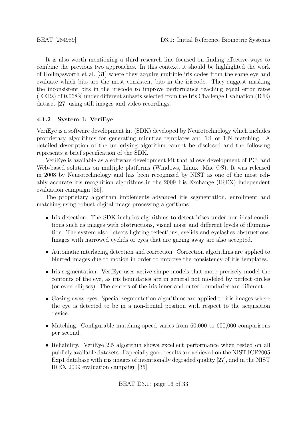It is also worth mentioning a third research line focused on finding effective ways to combine the previous two approaches. In this context, it should be highlighted the work of Hollingsworth et al. [31] where they acquire multiple iris codes from the same eye and evaluate which bits are the most consistent bits in the iriscode. They suggest masking the inconsistent bits in the iriscode to improve performance reaching equal error rates (EERs) of 0.068% under different subsets selected from the Iris Challenge Evaluation (ICE) dataset [27] using still images and video recordings.

#### 4.1.2 System 1: VeriEye

VeriEye is a software development kit (SDK) developed by Neurotechnology which includes proprietary algorithms for generating minutiae templates and 1:1 or 1:N matching. A detailed description of the underlying algorithm cannot be disclosed and the following represents a brief specification of the SDK.

VeriEye is available as a software development kit that allows development of PC- and Web-based solutions on multiple platforms (Windows, Linux, Mac OS). It was released in 2008 by Neurotechnology and has been recognized by NIST as one of the most reliably accurate iris recognition algorithms in the 2009 Iris Exchange (IREX) independent evaluation campaign [35].

The proprietary algorithm implements advanced iris segmentation, enrollment and matching using robust digital image processing algorithms:

- Iris detection. The SDK includes algorithms to detect irises under non-ideal conditions such as images with obstructions, visual noise and different levels of illumination. The system also detects lighting reflections, eyelids and eyelashes obstructions. Images with narrowed eyelids or eyes that are gazing away are also accepted.
- Automatic interlacing detection and correction. Correction algorithms are applied to blurred images due to motion in order to improve the consistency of iris templates.
- Iris segmentation. VeriEye uses active shape models that more precisely model the contours of the eye, as iris boundaries are in general not modeled by perfect circles (or even ellipses). The centers of the iris inner and outer boundaries are different.
- Gazing-away eyes. Special segmentation algorithms are applied to iris images where the eye is detected to be in a non-frontal position with respect to the acquisition device.
- Matching. Configurable matching speed varies from 60,000 to 600,000 comparisons per second.
- Reliability. VeriEye 2.5 algorithm shows excellent performance when tested on all publicly available datasets. Especially good results are achieved on the NIST ICE2005 Exp1 database with iris images of intentionally degraded quality [27], and in the NIST IREX 2009 evaluation campaign [35].

BEAT D3.1: page 16 of 33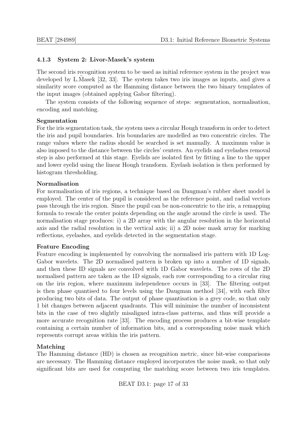#### 4.1.3 System 2: Livor-Masek's system

The second iris recognition system to be used as initial reference system in the project was developed by L.Masek  $[32, 33]$ . The system takes two iris images as inputs, and gives a similarity score computed as the Hamming distance between the two binary templates of the input images (obtained applying Gabor filtering).

The system consists of the following sequence of steps: segmentation, normalisation, encoding and matching.

#### Segmentation

For the iris segmentation task, the system uses a circular Hough transform in order to detect the iris and pupil boundaries. Iris boundaries are modelled as two concentric circles. The range values where the radius should be searched is set manually. A maximum value is also imposed to the distance between the circles' centers. An eyelids and eyelashes removal step is also performed at this stage. Eyelids are isolated first by fitting a line to the upper and lower eyelid using the linear Hough transform. Eyelash isolation is then performed by histogram thresholding.

#### Normalisation

For normalisation of iris regions, a technique based on Daugman's rubber sheet model is employed. The center of the pupil is considered as the reference point, and radial vectors pass through the iris region. Since the pupil can be non-concentric to the iris, a remapping formula to rescale the center points depending on the angle around the circle is used. The normalisation stage produces: i) a 2D array with the angular resolution in the horizontal axis and the radial resolution in the vertical axis; ii) a 2D noise mask array for marking reflections, eyelashes, and eyelids detected in the segmentation stage.

#### Feature Encoding

Feature encoding is implemented by convolving the normalised iris pattern with 1D Log-Gabor wavelets. The 2D normalised pattern is broken up into a number of 1D signals, and then these ID signals are convolved with 1D Gabor wavelets. The rows of the 2D normalised pattern are taken as the 1D signals, each row corresponding to a circular ring on the iris region, where maximum independence occurs in [33]. The filtering output is then phase quantised to four levels using the Daugman method [34], with each filter producing two bits of data. The output of phase quantisation is a grey code, so that only 1 bit changes between adjacent quadrants. This will minimise the number of inconsistent bits in the case of two slightly misaligned intra-class patterns, and thus will provide a more accurate recognition rate [33]. The encoding process produces a bit-wise template containing a certain number of information bits, and a corresponding noise mask which represents corrupt areas within the iris pattern.

#### Matching

The Hamming distance (HD) is chosen as recognition metric, since bit-wise comparisons are necessary. The Hamming distance employed incorporates the noise mask, so that only significant bits are used for computing the matching score between two iris templates.

BEAT D3.1: page 17 of 33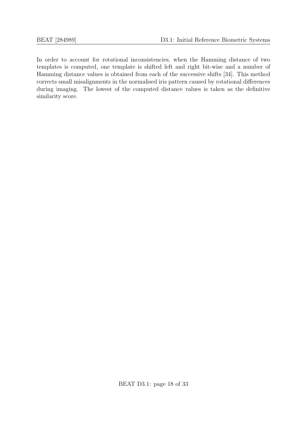In order to account for rotational inconsistencies, when the Hamming distance of two templates is computed, one template is shifted left and right bit-wise and a number of Hamming distance values is obtained from each of the successive shifts [34]. This method corrects small misalignments in the normalised iris pattern caused by rotational differences during imaging. The lowest of the computed distance values is taken as the definitive similarity score.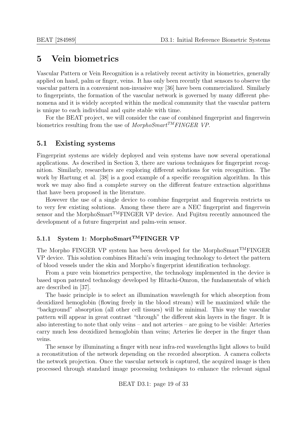# 5 Vein biometrics

Vascular Pattern or Vein Recognition is a relatively recent activity in biometrics, generally applied on hand, palm or finger, veins. It has only been recently that sensors to observe the vascular pattern in a convenient non-invasive way [36] have been commercialized. Similarly to fingerprints, the formation of the vascular network is governed by many different phenomena and it is widely accepted within the medical community that the vascular pattern is unique to each individual and quite stable with time.

For the BEAT project, we will consider the case of combined fingerprint and fingervein biometrics resulting from the use of  $MorphoSmart^{TM}FINGER$  VP.

#### 5.1 Existing systems

Fingerprint systems are widely deployed and vein systems have now several operational applications. As described in Section 3, there are various techniques for fingerprint recognition. Similarly, researchers are exploring different solutions for vein recognition. The work by Hartung et al. [38] is a good example of a specific recognition algorithm. In this work we may also find a complete survey on the different feature extraction algorithms that have been proposed in the literature.

However the use of a single device to combine fingerprint and fingervein restricts us to very few existing solutions. Among these there are a NEC fingerprint and fingervein sensor and the MorphoSmart<sup>TM</sup>FINGER VP device. And Fujitsu recently announced the development of a future fingerprint and palm-vein sensor.

#### 5.1.1 System 1: MorphoSmart<sup>TM</sup>FINGER VP

The Morpho FINGER VP system has been developed for the MorphoSmart<sup>TM</sup>FINGER VP device. This solution combines Hitachi's vein imaging technology to detect the pattern of blood vessels under the skin and Morpho's fingerprint identification technology.

From a pure vein biometrics perspective, the technology implemented in the device is based upon patented technology developed by Hitachi-Omron, the fundamentals of which are described in [37].

The basic principle is to select an illumination wavelength for which absorption from deoxidized hemoglobin (flowing freely in the blood stream) will be maximized while the "background" absorption (all other cell tissues) will be minimal. This way the vascular pattern will appear in great contrast "through" the different skin layers in the finger. It is also interesting to note that only veins – and not arteries – are going to be visible: Arteries carry much less deoxidized hemoglobin than veins; Arteries lie deeper in the finger than veins.

The sensor by illuminating a finger with near infra-red wavelengths light allows to build a reconstitution of the network depending on the recorded absorption. A camera collects the network projection. Once the vascular network is captured, the acquired image is then processed through standard image processing techniques to enhance the relevant signal

BEAT D3.1: page 19 of 33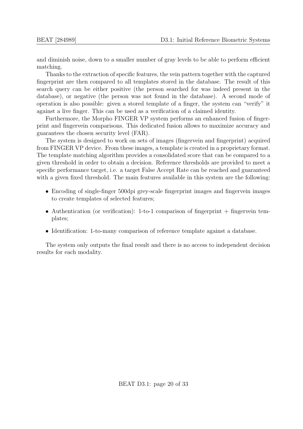and diminish noise, down to a smaller number of gray levels to be able to perform efficient matching.

Thanks to the extraction of specific features, the vein pattern together with the captured fingerprint are then compared to all templates stored in the database. The result of this search query can be either positive (the person searched for was indeed present in the database), or negative (the person was not found in the database). A second mode of operation is also possible: given a stored template of a finger, the system can "verify" it against a live finger. This can be used as a verification of a claimed identity.

Furthermore, the Morpho FINGER VP system performs an enhanced fusion of fingerprint and fingervein comparisons. This dedicated fusion allows to maximize accuracy and guarantees the chosen security level (FAR).

The system is designed to work on sets of images (fingervein and fingerprint) acquired from FINGER VP device. From these images, a template is created in a proprietary format. The template matching algorithm provides a consolidated score that can be compared to a given threshold in order to obtain a decision. Reference thresholds are provided to meet a specific performance target, i.e. a target False Accept Rate can be reached and guaranteed with a given fixed threshold. The main features available in this system are the following:

- Encoding of single-finger 500dpi grey-scale fingerprint images and fingervein images to create templates of selected features;
- Authentication (or verification): 1-to-1 comparison of fingerprint  $+$  fingervein templates;
- Identification: 1-to-many comparison of reference template against a database.

The system only outputs the final result and there is no access to independent decision results for each modality.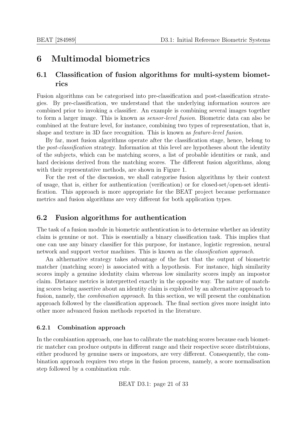# 6 Multimodal biometrics

## 6.1 Classification of fusion algorithms for multi-system biometrics

Fusion algorithms can be categorised into pre-classification and post-classification strategies. By pre-classification, we understand that the underlying information sources are combined prior to invoking a classifier. An example is combining several images together to form a larger image. This is known as sensor-level fusion. Biometric data can also be combined at the feature level, for instance, combining two types of representation, that is, shape and texture in 3D face recognition. This is known as feature-level fusion.

By far, most fusion algorithms operate after the classification stage, hence, belong to the post-classification strategy. Information at this level are hypotheses about the identity of the subjects, which can be matching scores, a list of probable identities or rank, and hard decisions derived from the matching scores. The different fusion algorithms, along with their representative methods, are shown in Figure 1.

For the rest of the discussion, we shall categorise fusion algorithms by their context of usage, that is, either for authentication (verification) or for closed-set/open-set identification. This approach is more appropriate for the BEAT project because performance metrics and fusion algorithms are very different for both application types.

## 6.2 Fusion algorithms for authentication

The task of a fusion module in biometric authentication is to determine whether an identity claim is genuine or not. This is essentially a binary classification task. This implies that one can use any binary classifier for this purpose, for instance, logistic regression, neural network and support vector machines. This is known as the *classification approach*.

An althernative strategy takes advantage of the fact that the output of biometric matcher (matching score) is associated with a hypothesis. For instance, high similarity scores imply a genuine idedntity claim whereas low similarity scores imply an impostor claim. Distance metrics is interpretted exactly in the opposite way. The nature of matching scores being assertive about an identity claim is exploited by an alternative approach to fusion, namely, the combination approach. In this section, we will present the combination approach followed by the classification approach. The final section gives more insight into other more advanced fusion methods reported in the literature.

#### 6.2.1 Combination approach

In the combiantion approach, one has to calibrate the matching scores because each biometric matcher can produce outputs in different range and their respective score distribtuions, either produced by genuine users or impostors, are very different. Consequently, the combination approach requires two steps in the fusion process, namely, a score normalisation step followed by a combination rule.

BEAT D3.1: page 21 of 33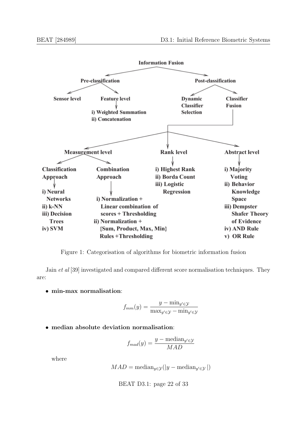

Figure 1: Categorisation of algorithms for biometric information fusion

Jain et al [39] investigated and compared different score normalisation techniques. They are:

• min-max normalisation:

$$
f_{mm}(y) = \frac{y - \min_{y' \in \mathcal{Y}}}{\max_{y' \in \mathcal{Y}} - \min_{y' \in \mathcal{Y}}}
$$

• median absolute deviation normalisation:

$$
f_{mad}(y) = \frac{y - \text{median}_{y' \in \mathcal{Y}}}{MAD}
$$

where

 $MAD = \text{median}_{y \in \mathcal{Y}}(|y - \text{median}_{y' \in \mathcal{Y}}|)$ 

BEAT D3.1: page 22 of 33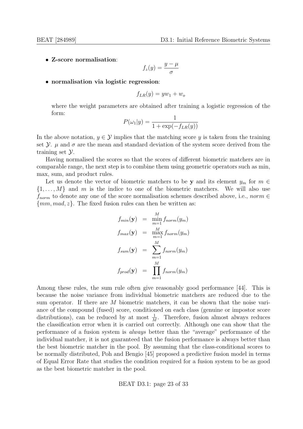• Z-score normalisation:

$$
f_z(y) = \frac{y - \mu}{\sigma}
$$

• normalisation via logistic regression:

$$
f_{LR}(y) = yw_1 + w_o
$$

where the weight parameters are obtained after training a logistic regression of the form:

$$
P(\omega_1|y) = \frac{1}{1 + \exp(-f_{LR}(y))}
$$

In the above notation,  $y \in \mathcal{Y}$  implies that the matching score y is taken from the training set  $\mathcal{Y}$ .  $\mu$  and  $\sigma$  are the mean and standard deviation of the system score derived from the training set Y.

Having normalised the scores so that the scores of different biometric matchers are in comparable range, the next step is to combine them using geometric operators such as min, max, sum, and product rules.

Let us denote the vector of biometric matchers to be y and its element  $y_m$  for  $m \in$  $\{1, \ldots, M\}$  and m is the indice to one of the biometric matchers. We will also use  $f_{norm}$  to denote any one of the score normalisation schemes described above, i.e., norm  $\in$  ${mm, mad, z}$ . The fixed fusion rules can then be written as:

$$
f_{min}(\mathbf{y}) = \min_{m=1}^{M} f_{norm}(y_m)
$$
  
\n
$$
f_{max}(\mathbf{y}) = \max_{m=1}^{M} f_{norm}(y_m)
$$
  
\n
$$
f_{sum}(\mathbf{y}) = \sum_{m=1}^{M} f_{norm}(y_m)
$$
  
\n
$$
f_{prod}(\mathbf{y}) = \prod_{m=1}^{M} f_{norm}(y_m)
$$

Among these rules, the sum rule often give reasonably good performance [44]. This is because the noise variance from individual biometric matchers are reduced due to the sum operator. If there are M biometric matchers, it can be shown that the noise variance of the compound (fused) score, conditioned on each class (genuine or impostor score distributions), can be reduced by at most  $\frac{1}{M}$ . Therefore, fusion almost always reduces the classification error when it is carried out correctly. Although one can show that the performance of a fusion system is always better than the "average" performance of the individual matcher, it is not guaranteed that the fusion performance is always better than the best biometric matcher in the pool. By assuming that the class-conditional scores to be normally distributed, Poh and Bengio [45] proposed a predictive fusion model in terms of Equal Error Rate that studies the condition required for a fusion system to be as good as the best biometric matcher in the pool.

BEAT D3.1: page 23 of 33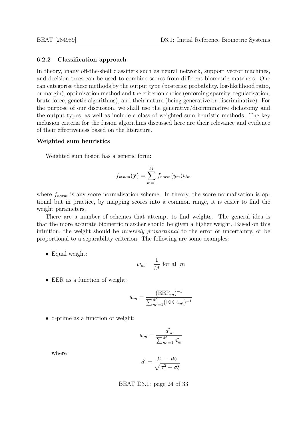#### 6.2.2 Classification approach

In theory, many off-the-shelf classifiers such as neural network, support vector machines, and decision trees can be used to combine scores from different biometric matchers. One can categorise these methods by the output type (posterior probability, log-likelihood ratio, or margin), optimisation method and the criterion choice (enforcing sparsity, regularisation, brute force, genetic algorithms), and their nature (being generative or discriminative). For the purpose of our discussion, we shall use the generative/discriminative dichotomy and the output types, as well as include a class of weighted sum heuristic methods. The key inclusion criteria for the fusion algorithms discussed here are their relevance and evidence of their effectiveness based on the literature.

#### Weighted sum heuristics

Weighted sum fusion has a generic form:

$$
f_{wsum}(\mathbf{y}) = \sum_{m=1}^{M} f_{norm}(y_m) w_m
$$

where  $f_{norm}$  is any score normalisation scheme. In theory, the score normalisation is optional but in practice, by mapping scores into a common range, it is easier to find the weight parameters.

There are a number of schemes that attempt to find weights. The general idea is that the more accurate biometric matcher should be given a higher weight. Based on this intuition, the weight should be inversely proportional to the error or uncertainty, or be proportional to a separability criterion. The following are some examples:

• Equal weight:

$$
w_m = \frac{1}{M} \text{ for all } m
$$

• EER as a function of weight:

$$
w_m = \frac{(\text{EER}_m)^{-1}}{\sum_{m'=1}^{M} (\text{EER}_{m'})^{-1}}
$$

• d-prime as a function of weight:

$$
w_m = \frac{d'_m}{\sum_{m'=1}^M d'_m}
$$

where

$$
d' = \frac{\mu_1 - \mu_0}{\sqrt{\sigma_1^2 + \sigma_2^2}}
$$

BEAT D3.1: page 24 of 33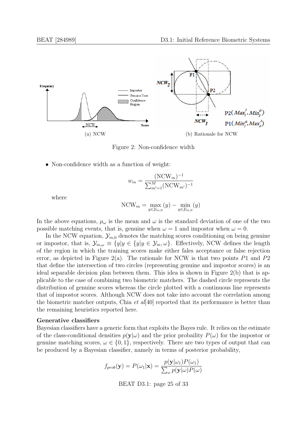

Figure 2: Non-confidence width

• Non-confidence width as a function of weight:

$$
w_m = \frac{(NCW_m)^{-1}}{\sum_{m'=1}^{M} (NCW_{m'})^{-1}}
$$

where

$$
\text{NCW}_m = \max_{y \in \mathcal{Y}_{m,0}} (y) - \min_{y \in \mathcal{Y}_{m,0}} (y)
$$

In the above equations,  $\mu_{\omega}$  is the mean and  $\omega$  is the standard deviation of one of the two possible matching events, that is, genuine when  $\omega = 1$  and impostor when  $\omega = 0$ .

In the NCW equation,  $\mathcal{Y}_{m,0}$  denotes the matching scores conditioning on being genuine or impostor, that is,  $\mathcal{Y}_{m,\omega} \equiv \{y|y \in \{y|y \in \mathcal{Y}_m, \omega\}$ . Effectively, NCW defines the length of the region in which the training scores make either fales acceptance or false rejection error, as depicted in Figure 2(a). The rationale for NCW is that two points  $P1$  and  $P2$ that define the intersection of two circles (representing genuine and impostor scores) is an ideal separable decision plan between them. This idea is shown in Figure 2(b) that is applicable to the case of combining two biometric matchers. The dashed circle represents the distribution of genuine scores whereas the circle plotted with a continuous line represents that of impostor scores. Although NCW does not take into account the correlation among the biometric matcher outputs, Chia *et al*[40] reported that its performance is better than the remaining heuristics reported here.

#### Generative classifiers

Bayesian classifiers have a generic form that exploits the Bayes rule. It relies on the estimate of the class-conditional densities  $p(y|\omega)$  and the prior probaility  $P(\omega)$  for the impostor or genuine matching scores,  $\omega \in \{0, 1\}$ , respectively. There are two types of output that can be produced by a Bayesian classifier, namely in terms of posterior probability,

$$
f_{prob}(\mathbf{y}) = P(\omega_1|\mathbf{x}) = \frac{p(\mathbf{y}|\omega_1)P(\omega_1)}{\sum_{\omega} p(\mathbf{y}|\omega)P(\omega)}
$$

BEAT D3.1: page 25 of 33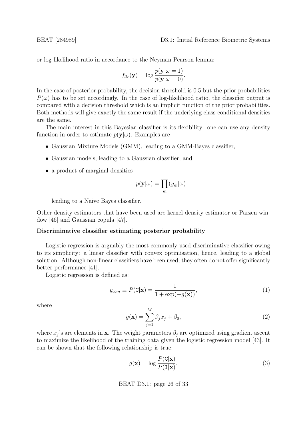or log-likelihood ratio in accordance to the Neyman-Pearson lemma:

$$
f_{llr}(\mathbf{y}) = \log \frac{p(\mathbf{y}|\omega = 1)}{p(\mathbf{y}|\omega = 0)}.
$$

In the case of posterior probability, the decision threshold is 0.5 but the prior probabilities  $P(\omega)$  has to be set accordingly. In the case of log-likelihood ratio, the classifier output is compared with a decision threshold which is an implicit function of the prior probabilities. Both methods will give exactly the same result if the underlying class-conditional densities are the same.

The main interest in this Bayesian classifier is its flexibility: one can use any density function in order to estimate  $p(y|\omega)$ . Examples are

- Gaussian Mixture Models (GMM), leading to a GMM-Bayes classifier,
- Gaussian models, leading to a Gaussian classifier, and
- a product of marginal densities

$$
p(\mathbf{y}|\omega) = \prod_m (y_m|\omega)
$$

leading to a Naive Bayes classifier.

Other density estimators that have been used are kernel density estimator or Parzen window [46] and Gaussian copula [47].

#### Discriminative classifier estimating posterior probability

Logistic regression is arguably the most commonly used discriminative classifier owing to its simplicity: a linear classifier with convex optimisation, hence, leading to a global solution. Although non-linear classifiers have been used, they often do not offer significantly better performance [41].

Logistic regression is defined as:

$$
y_{com} \equiv P(\mathbf{C}|\mathbf{x}) = \frac{1}{1 + \exp(-g(\mathbf{x}))},\tag{1}
$$

where

$$
g(\mathbf{x}) = \sum_{j=1}^{M} \beta_j x_j + \beta_0,
$$
\n(2)

where  $x_j$ 's are elements in **x**. The weight parameters  $\beta_j$  are optimized using gradient ascent to maximize the likelihood of the training data given the logistic regression model [43]. It can be shown that the following relationship is true:

$$
g(\mathbf{x}) = \log \frac{P(\mathbf{C}|\mathbf{x})}{P(\mathbf{I}|\mathbf{x})}.
$$
 (3)

BEAT D3.1: page 26 of 33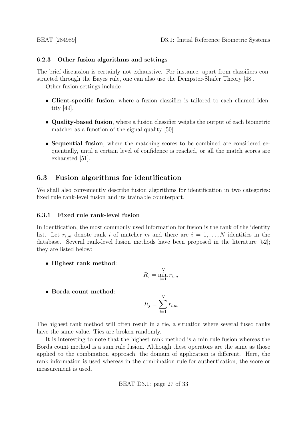#### 6.2.3 Other fusion algorithms and settings

The brief discussion is certainly not exhaustive. For instance, apart from classifiers constructed through the Bayes rule, one can also use the Dempster-Shafer Theory [48].

Other fusion settings include

- Client-specific fusion, where a fusion classifier is tailored to each cliamed identity [49].
- Quality-based fusion, where a fusion classifier weighs the output of each biometric matcher as a function of the signal quality [50].
- Sequential fusion, where the matching scores to be combined are considered sequentially, until a certain level of confidence is reached, or all the match scores are exhausted [51].

#### 6.3 Fusion algorithms for identification

We shall also conveniently describe fusion algorithms for identification in two categories: fixed rule rank-level fusion and its trainable counterpart.

#### 6.3.1 Fixed rule rank-level fusion

In identfication, the most commonly used information for fusion is the rank of the identity list. Let  $r_{i,m}$  denote rank i of matcher m and there are  $i = 1, \ldots, N$  identities in the database. Several rank-level fusion methods have been proposed in the literature [52]; they are listed below:

• Highest rank method:

$$
R_j = \min_{i=1}^N r_{i,m}
$$

• Borda count method:

$$
R_j = \sum_{i=1}^{N} r_{i,m}
$$

The highest rank method will often result in a tie, a situation where several fused ranks have the same value. Ties are broken randomly.

It is interesting to note that the highest rank method is a min rule fusion whereas the Borda count method is a sum rule fusion. Although these operators are the same as those applied to the combination approach, the domain of application is different. Here, the rank information is used whereas in the combination rule for authentication, the score or measurement is used.

BEAT D3.1: page 27 of 33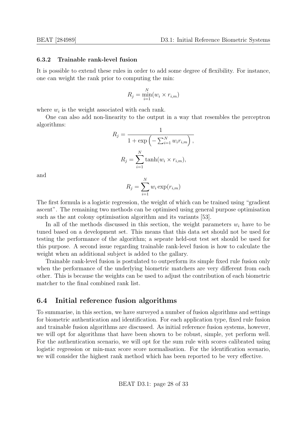#### 6.3.2 Trainable rank-level fusion

It is possible to extend these rules in order to add some degree of flexibility. For instance, one can weight the rank prior to computing the min:

$$
R_j = \min_{i=1}^N (w_i \times r_{i,m})
$$

where  $w_i$  is the weight associated with each rank.

One can also add non-linearity to the output in a way that resembles the perceptron algorithms:

$$
R_j = \frac{1}{1 + \exp\left(-\sum_{i=1}^N w_i r_{i,m}\right)},
$$

$$
R_j = \sum_{i=1}^N \tanh(w_i \times r_{i,m}),
$$

and

$$
R_j = \sum_{i=1}^{N} w_i \exp(r_{i,m})
$$

The first formula is a logistic regression, the weight of which can be trained using "gradient ascent". The remaining two methods can be optimised using general purpose optimisation such as the ant colony optimisation algorithm and its variants [53].

In all of the methods discussed in this section, the weight parameters  $w_i$  have to be tuned based on a development set. This means that this data set should not be used for testing the performance of the algorithm; a sepeate held-out test set should be used for this purpose. A second issue regarding trainable rank-level fusion is how to calculate the weight when an additional subject is added to the gallary.

Trainable rank-level fusion is postulated to outperform its simple fixed rule fusion only when the performance of the underlying biometric matchers are very different from each other. This is because the weights can be used to adjust the contribution of each biometric matcher to the final combined rank list.

#### 6.4 Initial reference fusion algorithms

To summarise, in this section, we have surveyed a number of fusion algorithms and settings for biometric authentication and identification. For each application type, fixed rule fusion and trainable fusion algorithms are discussed. As initial reference fusion systems, however, we will opt for algorithms that have been shown to be robust, simple, yet perform well. For the authentication scenario, we will opt for the sum rule with scores calibrated using logistic regression or min-max score score normalisation. For the identification scenario, we will consider the highest rank method which has been reported to be very effective.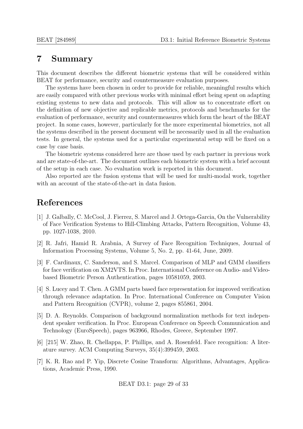# 7 Summary

This document describes the different biometric systems that will be considered within BEAT for performance, security and countermeasure evaluation purposes.

The systems have been chosen in order to provide for reliable, meaningful results which are easily compared with other previous works with minimal effort being spent on adapting existing systems to new data and protocols. This will allow us to concentrate effort on the definition of new objective and replicable metrics, protocols and benchmarks for the evaluation of performance, security and countermeasures which form the heart of the BEAT project. In some cases, however, particularly for the more experimental biometrics, not all the systems described in the present document will be necessarily used in all the evaluation tests. In general, the systems used for a particular experimental setup will be fixed on a case by case basis.

The biometric systems considered here are those used by each partner in previous work and are state-of-the-art. The document outlines each biometric system with a brief account of the setup in each case. No evaluation work is reported in this document.

Also reported are the fusion systems that will be used for multi-modal work, together with an account of the state-of-the-art in data fusion.

# References

- [1] J. Galbally, C. McCool, J. Fierrez, S. Marcel and J. Ortega-Garcia, On the Vulnerability of Face Verification Systems to Hill-Climbing Attacks, Pattern Recognition, Volume 43, pp. 1027-1038, 2010.
- [2] R. Jafri, Hamid R. Arabnia, A Survey of Face Recognition Techniques, Journal of Information Processing Systems, Volume 5, No. 2, pp. 41-64, June, 2009.
- [3] F. Cardinaux, C. Sanderson, and S. Marcel. Comparison of MLP and GMM classifiers for face verification on XM2VTS. In Proc. International Conference on Audio- and Videobased Biometric Person Authentication, pages 10581059, 2003.
- [4] S. Lucey and T. Chen. A GMM parts based face representation for improved verification through relevance adaptation. In Proc. International Conference on Computer Vision and Pattern Recognition (CVPR), volume 2, pages 855861, 2004.
- [5] D. A. Reynolds. Comparison of background normalization methods for text independent speaker verification. In Proc. European Conference on Speech Communication and Technology (EuroSpeech), pages 963966, Rhodes, Greece, September 1997.
- [6] [215] W. Zhao, R. Chellappa, P. Phillips, and A. Rosenfeld. Face recognition: A literature survey. ACM Computing Surveys, 35(4):399459, 2003.
- [7] K. R. Rao and P. Yip, Discrete Cosine Transform: Algorithms, Advantages, Applications, Academic Press, 1990.

BEAT D3.1: page 29 of 33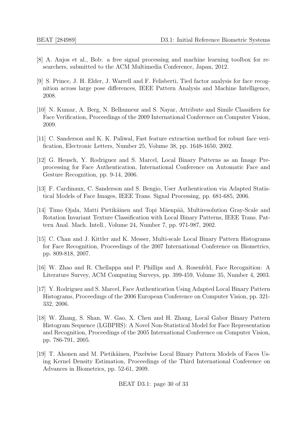- [8] A. Anjos et al., Bob: a free signal processing and machine learning toolbox for researchers, submitted to the ACM Multimedia Conference, Japan, 2012.
- [9] S. Prince, J. H. Elder, J. Warrell and F. Felisberti, Tied factor analysis for face recognition across large pose differences, IEEE Pattern Analysis and Machine Intelligence, 2008.
- [10] N. Kumar, A. Berg, N. Belhumeur and S. Nayar, Attribute and Simile Classifiers for Face Verification, Proceedings of the 2009 International Conference on Computer Vision, 2009.
- [11] C. Sanderson and K. K. Paliwal, Fast feature extraction method for robust face verification, Electronic Letters, Number 25, Volume 38, pp. 1648-1650, 2002.
- [12] G. Heusch, Y. Rodriguez and S. Marcel, Local Binary Patterns as an Image Preprocessing for Face Authentication, International Conference on Automatic Face and Gesture Recognition, pp. 9-14, 2006.
- [13] F. Cardinaux, C. Sanderson and S. Bengio, User Authentication via Adapted Statistical Models of Face Images, IEEE Trans. Signal Processing, pp. 681-685, 2006.
- [14] Timo Ojala, Matti Pietikäinen and Topi Mäenpää, Multiresolution Gray-Scale and Rotation Invariant Texture Classification with Local Binary Patterns, IEEE Trans. Pattern Anal. Mach. Intell., Volume 24, Number 7, pp. 971-987, 2002.
- [15] C. Chan and J. Kittler and K. Messer, Multi-scale Local Binary Pattern Histograms for Face Recognition, Proceedings of the 2007 International Conference on Biometrics, pp. 809-818, 2007.
- [16] W. Zhao and R. Chellappa and P. Phillips and A. Rosenfeld, Face Recognition: A Literature Survey, ACM Computing Surveys, pp. 399-459, Volume 35, Number 4, 2003.
- [17] Y. Rodriguez and S. Marcel, Face Authentication Using Adapted Local Binary Pattern Histograms, Proceedings of the 2006 European Conference on Computer Vision, pp. 321- 332, 2006.
- [18] W. Zhang, S. Shan, W. Gao, X. Chen and H. Zhang, Local Gabor Binary Pattern Histogram Sequence (LGBPHS): A Novel Non-Statistical Model for Face Representation and Recognition, Proceedings of the 2005 International Conference on Computer Vision, pp. 786-791, 2005.
- [19] T. Ahonen and M. Pietik¨ainen, Pixelwise Local Binary Pattern Models of Faces Using Kernel Density Estimation, Proceedings of the Third International Conference on Advances in Biometrics, pp. 52-61, 2009.

BEAT D3.1: page 30 of 33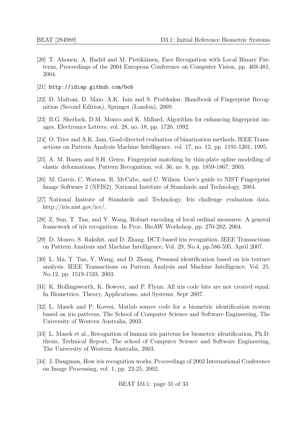- [20] T. Ahonen, A. Hadid and M. Pietikäinen, Face Recognition with Local Binary Patterns, Proceedings of the 2004 European Conference on Computer Vision, pp. 469-481, 2004.
- [21] http://idiap.github.com/bob
- [22] D. Maltoni, D. Maio, A.K. Jain and S. Prabhakar, Handbook of Fingerprint Recognition (Second Edition), Springer (London), 2009.
- [23] B.G. Sherlock, D.M. Monro and K. Millard, Algorithm for enhancing fingerprint images, Electronics Letters, vol. 28, no. 18, pp. 1720, 1992.
- [24] O. Trier and A.K. Jain, Goal-directed evaluation of binarization methods, IEEE Transactions on Pattern Analysis Machine Intelligence, vol. 17, no. 12, pp. 1191-1201, 1995.
- [25] A. M. Bazen and S.H. Gerez, Fingerprint matching by thin-plate spline modelling of elastic deformations, Pattern Recognition, vol. 36, no. 8, pp. 1859-1867, 2003.
- [26] M. Garris, C. Watson, R. McCabe, and C. Wilson. User's guide to NIST Fingerprint Image Software 2 (NFIS2). National Institute of Standards and Technology, 2004.
- [27] National Insitute of Standards and Technology. Iris challenge evaluation data. http://iris.nist.gov/ice/.
- [28] Z. Sun, T. Tan, and Y. Wang. Robust encoding of local ordinal measures: A general framework of iris recognition. In Proc. BioAW Workshop, pp. 270-282, 2004.
- [29] D. Monro, S. Rakshit, and D. Zhang. DCT-based iris recognition. IEEE Transactions on Pattern Analysis and Machine Intelligence, Vol. 29, No.4, pp.586-595, April 2007.
- [30] L. Ma, T. Tan, Y. Wang, and D. Zhang. Personal identification based on iris texture analysis. IEEE Transactions on Pattern Analysis and Machine Intelligence, Vol. 25, No.12, pp. 1519-1533, 2003.
- [31] K. Hollingsworth, K. Bowyer, and P. Flynn. All iris code bits are not created equal. In Biometrics: Theory, Applications, and Systems, Sept 2007.
- [32] L. Masek and P. Kovesi, Matlab source code for a biometric identification system based on iris patterns, The School of Computer Science and Software Engineering, The University of Western Australia, 2003.
- [33] L. Masek et al., Recognition of human iris patterns for biometric identification, Ph.D. thesis, Technical Report, The school of Computer Science and Software Engineering, The University of Western Australia, 2003.
- [34] J. Daugman, How iris recognition works, Proceedings of 2002 International Conference on Image Processing, vol. 1, pp. 22-25, 2002.

BEAT D3.1: page 31 of 33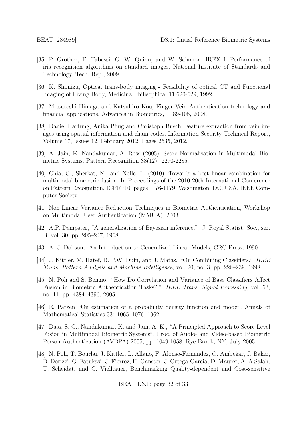- [35] P. Grother, E. Tabassi, G. W. Quinn, and W. Salamon. IREX I: Performance of iris recognition algorithms on standard images, National Institute of Standards and Technology, Tech. Rep., 2009.
- [36] K. Shimizu, Optical trans-body imaging Feasibility of optical CT and Functional Imaging of Living Body, Medicina Philisophica, 11:620-629, 1992.
- [37] Mitsutoshi Himaga and Katsuhiro Kou, Finger Vein Authentication technology and financial applications, Advances in Biometrics, 1, 89-105, 2008.
- [38] Daniel Hartung, Anika Pflug and Christoph Busch, Feature extraction from vein images using spatial information and chain codes, Information Security Technical Report, Volume 17, Issues 12, February 2012, Pages 2635, 2012.
- [39] A. Jain, K. Nandakumar, A. Ross (2005). Score Normalisation in Multimodal Biometric Systems. Pattern Recognition 38(12): 2270-2285.
- [40] Chia, C., Sherkat, N., and Nolle, L. (2010). Towards a best linear combination for multimodal biometric fusion. In Proceedings of the 2010 20th International Conference on Pattern Recognition, ICPR '10, pages 1176-1179, Washington, DC, USA. IEEE Computer Society.
- [41] Non-Linear Variance Reduction Techniques in Biometric Authentication, Workshop on Multimodal User Authentication (MMUA), 2003.
- [42] A.P. Dempster, "A generalization of Bayesian inference," J. Royal Statist. Soc., ser. B, vol. 30, pp. 205–247, 1968.
- [43] A. J. Dobson, An Introduction to Generalized Linear Models, CRC Press, 1990.
- [44] J. Kittler, M. Hatef, R. P.W. Duin, and J. Matas, "On Combining Classifiers," IEEE Trans. Pattern Analysis and Machine Intelligence, vol. 20, no. 3, pp. 226–239, 1998.
- [45] N. Poh and S. Bengio, "How Do Correlation and Variance of Base Classifiers Affect Fusion in Biometric Authentication Tasks?," IEEE Trans. Signal Processing, vol. 53, no. 11, pp. 4384–4396, 2005.
- [46] E. Parzen "On estimation of a probability density function and mode". Annals of Mathematical Statistics 33: 1065–1076, 1962.
- [47] Dass, S. C., Nandakumar, K. and Jain, A. K., "A Principled Approach to Score Level Fusion in Multimodal Biometric Systems", Proc. of Audio- and Video-based Biometric Person Authentication (AVBPA) 2005, pp. 1049-1058, Rye Brook, NY, July 2005.
- [48] N. Poh, T. Bourlai, J. Kittler, L. Allano, F. Alonso-Fernandez, O. Ambekar, J. Baker, B. Dorizzi, O. Fatukasi, J. Fierrez, H. Ganster, J. Ortega-Garcia, D. Maurer, A. A Salah, T. Scheidat, and C. Vielhauer, Benchmarking Quality-dependent and Cost-sensitive

BEAT D3.1: page 32 of 33